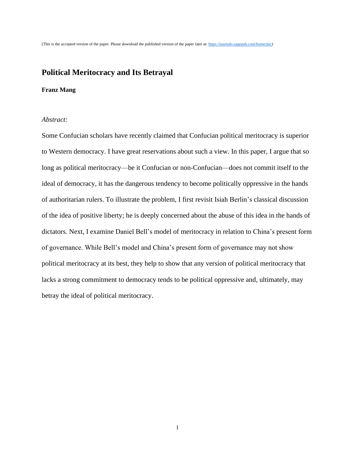# **Political Meritocracy and Its Betrayal**

## **Franz Mang**

#### *Abstract:*

Some Confucian scholars have recently claimed that Confucian political meritocracy is superior to Western democracy. I have great reservations about such a view. In this paper, I argue that so long as political meritocracy—be it Confucian or non-Confucian—does not commit itself to the ideal of democracy, it has the dangerous tendency to become politically oppressive in the hands of authoritarian rulers. To illustrate the problem, I first revisit Isiah Berlin's classical discussion of the idea of positive liberty; he is deeply concerned about the abuse of this idea in the hands of dictators. Next, I examine Daniel Bell's model of meritocracy in relation to China's present form of governance. While Bell's model and China's present form of governance may not show political meritocracy at its best, they help to show that any version of political meritocracy that lacks a strong commitment to democracy tends to be political oppressive and, ultimately, may betray the ideal of political meritocracy.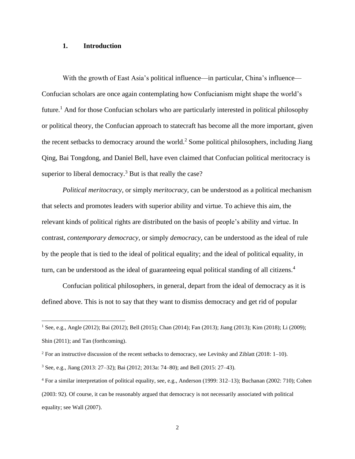## **1. Introduction**

With the growth of East Asia's political influence—in particular, China's influence— Confucian scholars are once again contemplating how Confucianism might shape the world's future.<sup>1</sup> And for those Confucian scholars who are particularly interested in political philosophy or political theory, the Confucian approach to statecraft has become all the more important, given the recent setbacks to democracy around the world. <sup>2</sup> Some political philosophers, including Jiang Qing, Bai Tongdong, and Daniel Bell, have even claimed that Confucian political meritocracy is superior to liberal democracy.<sup>3</sup> But is that really the case?

*Political meritocracy*, or simply *meritocracy*, can be understood as a political mechanism that selects and promotes leaders with superior ability and virtue. To achieve this aim, the relevant kinds of political rights are distributed on the basis of people's ability and virtue. In contrast, *contemporary democracy,* or simply *democracy*, can be understood as the ideal of rule by the people that is tied to the ideal of political equality; and the ideal of political equality, in turn, can be understood as the ideal of guaranteeing equal political standing of all citizens.<sup>4</sup>

Confucian political philosophers, in general, depart from the ideal of democracy as it is defined above. This is not to say that they want to dismiss democracy and get rid of popular

<sup>1</sup> See, e.g., Angle (2012); Bai (2012); Bell (2015); Chan (2014); Fan (2013); Jiang (2013); Kim (2018); Li (2009); Shin (2011); and Tan (forthcoming).

 $2$  For an instructive discussion of the recent setbacks to democracy, see Levitsky and Ziblatt (2018: 1–10).

<sup>3</sup> See, e.g., Jiang (2013: 27–32); Bai (2012; 2013a: 74–80); and Bell (2015: 27–43).

<sup>4</sup> For a similar interpretation of political equality, see, e.g., Anderson (1999: 312–13); Buchanan (2002: 710); Cohen (2003: 92). Of course, it can be reasonably argued that democracy is not necessarily associated with political equality; see Wall (2007).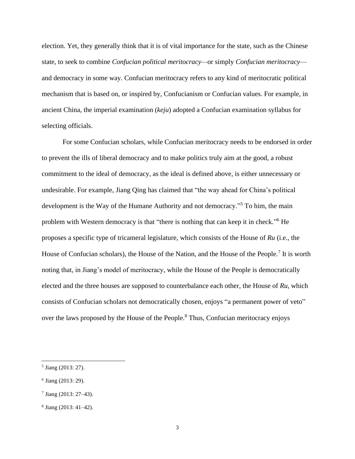election. Yet, they generally think that it is of vital importance for the state, such as the Chinese state, to seek to combine *Confucian political meritocracy—*or simply *Confucian meritocracy* and democracy in some way. Confucian meritocracy refers to any kind of meritocratic political mechanism that is based on, or inspired by, Confucianism or Confucian values. For example, in ancient China, the imperial examination (*keju*) adopted a Confucian examination syllabus for selecting officials.

For some Confucian scholars, while Confucian meritocracy needs to be endorsed in order to prevent the ills of liberal democracy and to make politics truly aim at the good, a robust commitment to the ideal of democracy, as the ideal is defined above, is either unnecessary or undesirable. For example, Jiang Qing has claimed that "the way ahead for China's political development is the Way of the Humane Authority and not democracy."<sup>5</sup> To him, the main problem with Western democracy is that "there is nothing that can keep it in check."<sup>6</sup> He proposes a specific type of tricameral legislature, which consists of the House of *Ru* (i.e., the House of Confucian scholars), the House of the Nation, and the House of the People.<sup>7</sup> It is worth noting that, in Jiang's model of meritocracy, while the House of the People is democratically elected and the three houses are supposed to counterbalance each other, the House of *Ru*, which consists of Confucian scholars not democratically chosen, enjoys "a permanent power of veto" over the laws proposed by the House of the People.<sup>8</sup> Thus, Confucian meritocracy enjoys

<sup>&</sup>lt;sup>5</sup> Jiang (2013: 27).

<sup>6</sup> Jiang (2013: 29).

<sup>7</sup> Jiang (2013: 27–43).

<sup>8</sup> Jiang (2013: 41–42).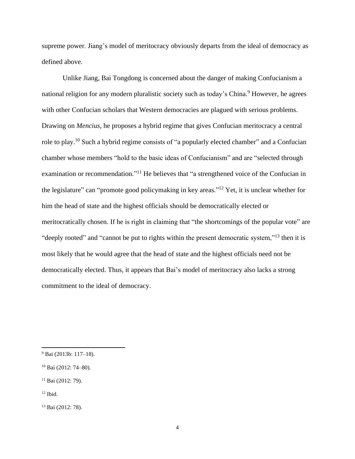supreme power. Jiang's model of meritocracy obviously departs from the ideal of democracy as defined above.

Unlike Jiang, Bai Tongdong is concerned about the danger of making Confucianism a national religion for any modern pluralistic society such as today's China.<sup>9</sup> However, he agrees with other Confucian scholars that Western democracies are plagued with serious problems. Drawing on *Mencius*, he proposes a hybrid regime that gives Confucian meritocracy a central role to play.<sup>10</sup> Such a hybrid regime consists of "a popularly elected chamber" and a Confucian chamber whose members "hold to the basic ideas of Confucianism" and are "selected through examination or recommendation."<sup>11</sup> He believes that "a strengthened voice of the Confucian in the legislature" can "promote good policymaking in key areas."<sup>12</sup> Yet, it is unclear whether for him the head of state and the highest officials should be democratically elected or meritocratically chosen. If he is right in claiming that "the shortcomings of the popular vote" are "deeply rooted" and "cannot be put to rights within the present democratic system,"<sup>13</sup> then it is most likely that he would agree that the head of state and the highest officials need not be democratically elected. Thus, it appears that Bai's model of meritocracy also lacks a strong commitment to the ideal of democracy.

<sup>9</sup> Bai (2013b: 117–18).

<sup>10</sup> Bai (2012: 74–80).

<sup>&</sup>lt;sup>11</sup> Bai (2012: 79).

 $12$  Ibid.

<sup>13</sup> Bai (2012: 78).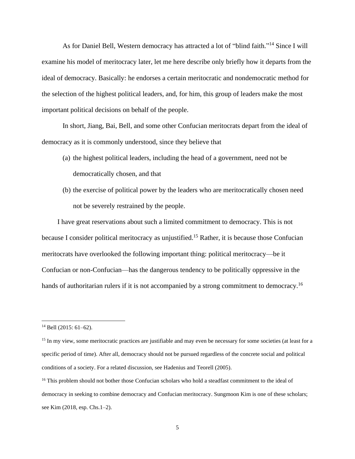As for Daniel Bell, Western democracy has attracted a lot of "blind faith."<sup>14</sup> Since I will examine his model of meritocracy later, let me here describe only briefly how it departs from the ideal of democracy. Basically: he endorses a certain meritocratic and nondemocratic method for the selection of the highest political leaders, and, for him, this group of leaders make the most important political decisions on behalf of the people.

In short, Jiang, Bai, Bell, and some other Confucian meritocrats depart from the ideal of democracy as it is commonly understood, since they believe that

- (a) the highest political leaders, including the head of a government, need not be democratically chosen, and that
- (b) the exercise of political power by the leaders who are meritocratically chosen need not be severely restrained by the people.

I have great reservations about such a limited commitment to democracy. This is not because I consider political meritocracy as unjustified.<sup>15</sup> Rather, it is because those Confucian meritocrats have overlooked the following important thing: political meritocracy—be it Confucian or non-Confucian—has the dangerous tendency to be politically oppressive in the hands of authoritarian rulers if it is not accompanied by a strong commitment to democracy.<sup>16</sup>

 $14$  Bell (2015: 61–62).

<sup>&</sup>lt;sup>15</sup> In my view, some meritocratic practices are justifiable and may even be necessary for some societies (at least for a specific period of time). After all, democracy should not be pursued regardless of the concrete social and political conditions of a society. For a related discussion, see Hadenius and Teorell (2005).

<sup>&</sup>lt;sup>16</sup> This problem should not bother those Confucian scholars who hold a steadfast commitment to the ideal of democracy in seeking to combine democracy and Confucian meritocracy. Sungmoon Kim is one of these scholars; see Kim (2018, esp. Chs.1–2).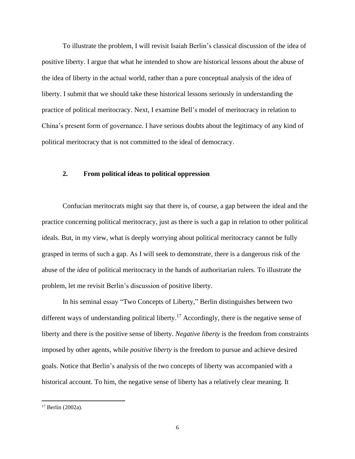To illustrate the problem, I will revisit Isaiah Berlin's classical discussion of the idea of positive liberty. I argue that what he intended to show are historical lessons about the abuse of the idea of liberty in the actual world, rather than a pure conceptual analysis of the idea of liberty. I submit that we should take these historical lessons seriously in understanding the practice of political meritocracy. Next, I examine Bell's model of meritocracy in relation to China's present form of governance. I have serious doubts about the legitimacy of any kind of political meritocracy that is not committed to the ideal of democracy.

## **2. From political ideas to political oppression**

Confucian meritocrats might say that there is, of course, a gap between the ideal and the practice concerning political meritocracy, just as there is such a gap in relation to other political ideals. But, in my view, what is deeply worrying about political meritocracy cannot be fully grasped in terms of such a gap. As I will seek to demonstrate, there is a dangerous risk of the abuse of the *idea* of political meritocracy in the hands of authoritarian rulers. To illustrate the problem, let me revisit Berlin's discussion of positive liberty.

In his seminal essay "Two Concepts of Liberty," Berlin distinguishes between two different ways of understanding political liberty.<sup>17</sup> Accordingly, there is the negative sense of liberty and there is the positive sense of liberty. *Negative liberty* is the freedom from constraints imposed by other agents, while *positive liberty* is the freedom to pursue and achieve desired goals. Notice that Berlin's analysis of the two concepts of liberty was accompanied with a historical account. To him, the negative sense of liberty has a relatively clear meaning. It

<sup>17</sup> Berlin (2002a).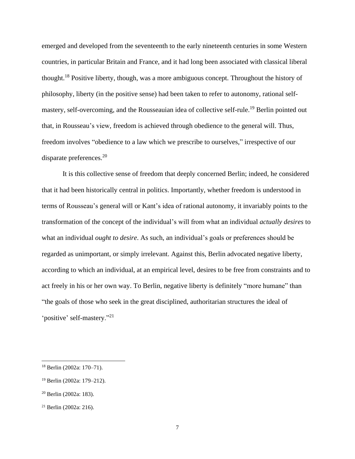emerged and developed from the seventeenth to the early nineteenth centuries in some Western countries, in particular Britain and France, and it had long been associated with classical liberal thought.<sup>18</sup> Positive liberty, though, was a more ambiguous concept. Throughout the history of philosophy, liberty (in the positive sense) had been taken to refer to autonomy, rational selfmastery, self-overcoming, and the Rousseauian idea of collective self-rule.<sup>19</sup> Berlin pointed out that, in Rousseau's view, freedom is achieved through obedience to the general will. Thus, freedom involves "obedience to a law which we prescribe to ourselves," irrespective of our disparate preferences.<sup>20</sup>

It is this collective sense of freedom that deeply concerned Berlin; indeed, he considered that it had been historically central in politics. Importantly, whether freedom is understood in terms of Rousseau's general will or Kant's idea of rational autonomy, it invariably points to the transformation of the concept of the individual's will from what an individual *actually desires* to what an individual *ought to desire*. As such, an individual's goals or preferences should be regarded as unimportant, or simply irrelevant. Against this, Berlin advocated negative liberty, according to which an individual, at an empirical level, desires to be free from constraints and to act freely in his or her own way. To Berlin, negative liberty is definitely "more humane" than "the goals of those who seek in the great disciplined, authoritarian structures the ideal of 'positive' self-mastery."<sup>21</sup>

<sup>18</sup> Berlin (2002a: 170–71).

<sup>19</sup> Berlin (2002a: 179–212).

<sup>20</sup> Berlin (2002a: 183).

<sup>21</sup> Berlin (2002a: 216).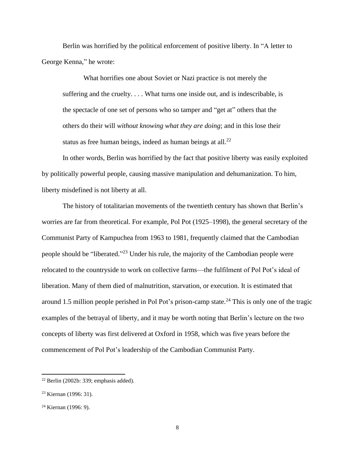Berlin was horrified by the political enforcement of positive liberty. In "A letter to George Kenna," he wrote:

What horrifies one about Soviet or Nazi practice is not merely the suffering and the cruelty. . . . What turns one inside out, and is indescribable, is the spectacle of one set of persons who so tamper and "get at" others that the others do their will *without knowing what they are doing*; and in this lose their status as free human beings, indeed as human beings at all. $^{22}$ 

In other words, Berlin was horrified by the fact that positive liberty was easily exploited by politically powerful people, causing massive manipulation and dehumanization. To him, liberty misdefined is not liberty at all.

The history of totalitarian movements of the twentieth century has shown that Berlin's worries are far from theoretical. For example, Pol Pot (1925–1998), the general secretary of the Communist Party of Kampuchea from 1963 to 1981, frequently claimed that the Cambodian people should be "liberated."<sup>23</sup> Under his rule, the majority of the Cambodian people were relocated to the countryside to work on collective farms—the fulfilment of Pol Pot's ideal of liberation. Many of them died of malnutrition, starvation, or execution. It is estimated that around 1.5 million people perished in Pol Pot's prison-camp state.<sup>24</sup> This is only one of the tragic examples of the betrayal of liberty, and it may be worth noting that Berlin's lecture on the two concepts of liberty was first delivered at Oxford in 1958, which was five years before the commencement of Pol Pot's leadership of the Cambodian Communist Party.

 $22$  Berlin (2002b: 339; emphasis added).

<sup>23</sup> Kiernan (1996: 31).

<sup>24</sup> Kiernan (1996: 9).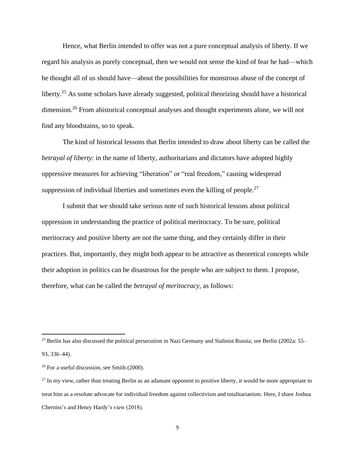Hence, what Berlin intended to offer was not a pure conceptual analysis of liberty. If we regard his analysis as purely conceptual, then we would not sense the kind of fear he had—which he thought all of us should have—about the possibilities for monstrous abuse of the concept of liberty.<sup>25</sup> As some scholars have already suggested, political theorizing should have a historical dimension.<sup>26</sup> From ahistorical conceptual analyses and thought experiments alone, we will not find any bloodstains, so to speak.

The kind of historical lessons that Berlin intended to draw about liberty can be called the *betrayal of liberty*: in the name of liberty, authoritarians and dictators have adopted highly oppressive measures for achieving "liberation" or "real freedom," causing widespread suppression of individual liberties and sometimes even the killing of people.<sup>27</sup>

I submit that we should take serious note of such historical lessons about political oppression in understanding the practice of political meritocracy. To be sure, political meritocracy and positive liberty are not the same thing, and they certainly differ in their practices. But, importantly, they might both appear to be attractive as theoretical concepts while their adoption in politics can be disastrous for the people who are subject to them. I propose, therefore, what can be called the *betrayal of meritocracy*, as follows:

<sup>25</sup> Berlin has also discussed the political persecution in Nazi Germany and Stalinist Russia; see Berlin (2002a: 55– 93, 336–44).

<sup>26</sup> For a useful discussion, see Smith (2000).

 $27$  In my view, rather than treating Berlin as an adamant opponent to positive liberty, it would be more appropriate to treat him as a resolute advocate for individual freedom against collectivism and totalitarianism. Here, I share Joshua Cherniss's and Henry Hardy's view (2018).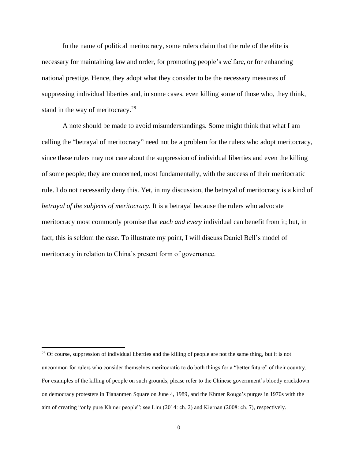In the name of political meritocracy, some rulers claim that the rule of the elite is necessary for maintaining law and order, for promoting people's welfare, or for enhancing national prestige. Hence, they adopt what they consider to be the necessary measures of suppressing individual liberties and, in some cases, even killing some of those who, they think, stand in the way of meritocracy.<sup>28</sup>

A note should be made to avoid misunderstandings. Some might think that what I am calling the "betrayal of meritocracy" need not be a problem for the rulers who adopt meritocracy, since these rulers may not care about the suppression of individual liberties and even the killing of some people; they are concerned, most fundamentally, with the success of their meritocratic rule. I do not necessarily deny this. Yet, in my discussion, the betrayal of meritocracy is a kind of *betrayal of the subjects of meritocracy*. It is a betrayal because the rulers who advocate meritocracy most commonly promise that *each and every* individual can benefit from it; but, in fact, this is seldom the case. To illustrate my point, I will discuss Daniel Bell's model of meritocracy in relation to China's present form of governance.

<sup>&</sup>lt;sup>28</sup> Of course, suppression of individual liberties and the killing of people are not the same thing, but it is not uncommon for rulers who consider themselves meritocratic to do both things for a "better future" of their country. For examples of the killing of people on such grounds, please refer to the Chinese government's bloody crackdown on democracy protesters in Tiananmen Square on June 4, 1989, and the Khmer Rouge's purges in 1970s with the aim of creating "only pure Khmer people"; see Lim (2014: ch. 2) and Kiernan (2008: ch. 7), respectively.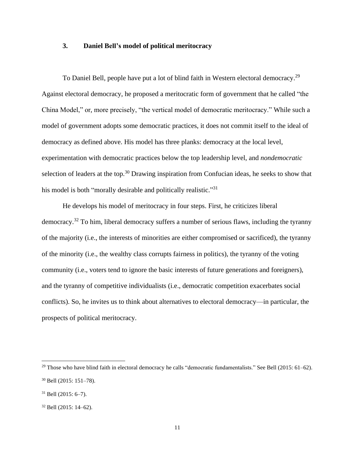## **3. Daniel Bell's model of political meritocracy**

To Daniel Bell, people have put a lot of blind faith in Western electoral democracy.<sup>29</sup> Against electoral democracy, he proposed a meritocratic form of government that he called "the China Model," or, more precisely, "the vertical model of democratic meritocracy." While such a model of government adopts some democratic practices, it does not commit itself to the ideal of democracy as defined above. His model has three planks: democracy at the local level, experimentation with democratic practices below the top leadership level, and *nondemocratic* selection of leaders at the top.<sup>30</sup> Drawing inspiration from Confucian ideas, he seeks to show that his model is both "morally desirable and politically realistic."<sup>31</sup>

He develops his model of meritocracy in four steps. First, he criticizes liberal democracy.<sup>32</sup> To him, liberal democracy suffers a number of serious flaws, including the tyranny of the majority (i.e., the interests of minorities are either compromised or sacrificed), the tyranny of the minority (i.e., the wealthy class corrupts fairness in politics), the tyranny of the voting community (i.e., voters tend to ignore the basic interests of future generations and foreigners), and the tyranny of competitive individualists (i.e., democratic competition exacerbates social conflicts). So, he invites us to think about alternatives to electoral democracy—in particular, the prospects of political meritocracy.

 $29$  Those who have blind faith in electoral democracy he calls "democratic fundamentalists." See Bell (2015: 61–62). <sup>30</sup> Bell (2015: 151–78).

 $31$  Bell (2015: 6–7).

 $32$  Bell (2015: 14–62).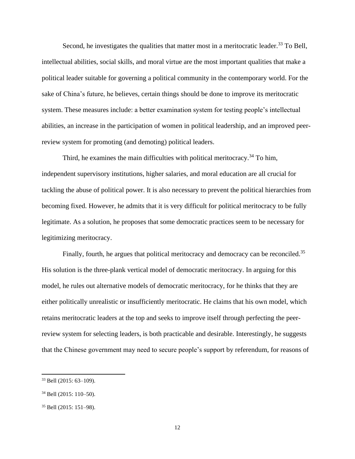Second, he investigates the qualities that matter most in a meritocratic leader.<sup>33</sup> To Bell, intellectual abilities, social skills, and moral virtue are the most important qualities that make a political leader suitable for governing a political community in the contemporary world. For the sake of China's future, he believes, certain things should be done to improve its meritocratic system. These measures include: a better examination system for testing people's intellectual abilities, an increase in the participation of women in political leadership, and an improved peerreview system for promoting (and demoting) political leaders.

Third, he examines the main difficulties with political meritocracy.<sup>34</sup> To him, independent supervisory institutions, higher salaries, and moral education are all crucial for tackling the abuse of political power. It is also necessary to prevent the political hierarchies from becoming fixed. However, he admits that it is very difficult for political meritocracy to be fully legitimate. As a solution, he proposes that some democratic practices seem to be necessary for legitimizing meritocracy.

Finally, fourth, he argues that political meritocracy and democracy can be reconciled.<sup>35</sup> His solution is the three-plank vertical model of democratic meritocracy. In arguing for this model, he rules out alternative models of democratic meritocracy, for he thinks that they are either politically unrealistic or insufficiently meritocratic. He claims that his own model, which retains meritocratic leaders at the top and seeks to improve itself through perfecting the peerreview system for selecting leaders, is both practicable and desirable. Interestingly, he suggests that the Chinese government may need to secure people's support by referendum, for reasons of

<sup>33</sup> Bell (2015: 63–109).

<sup>34</sup> Bell (2015: 110–50).

<sup>35</sup> Bell (2015: 151–98).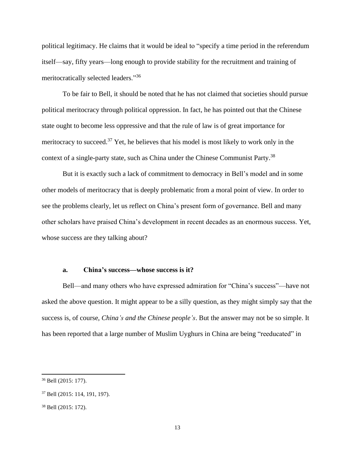political legitimacy. He claims that it would be ideal to "specify a time period in the referendum itself—say, fifty years—long enough to provide stability for the recruitment and training of meritocratically selected leaders."<sup>36</sup>

To be fair to Bell, it should be noted that he has not claimed that societies should pursue political meritocracy through political oppression. In fact, he has pointed out that the Chinese state ought to become less oppressive and that the rule of law is of great importance for meritocracy to succeed.<sup>37</sup> Yet, he believes that his model is most likely to work only in the context of a single-party state, such as China under the Chinese Communist Party.<sup>38</sup>

But it is exactly such a lack of commitment to democracy in Bell's model and in some other models of meritocracy that is deeply problematic from a moral point of view. In order to see the problems clearly, let us reflect on China's present form of governance. Bell and many other scholars have praised China's development in recent decades as an enormous success. Yet, whose success are they talking about?

#### **a. China's success—whose success is it?**

Bell—and many others who have expressed admiration for "China's success"—have not asked the above question. It might appear to be a silly question, as they might simply say that the success is, of course, *China's and the Chinese people's*. But the answer may not be so simple. It has been reported that a large number of Muslim Uyghurs in China are being "reeducated" in

<sup>36</sup> Bell (2015: 177).

<sup>37</sup> Bell (2015: 114, 191, 197).

<sup>38</sup> Bell (2015: 172).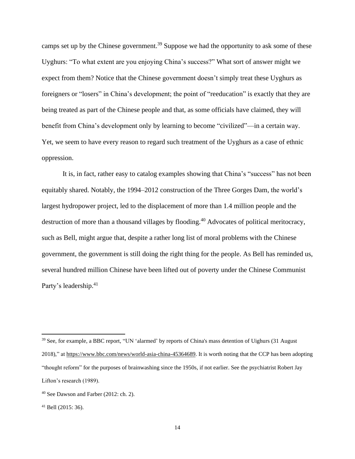camps set up by the Chinese government.<sup>39</sup> Suppose we had the opportunity to ask some of these Uyghurs: "To what extent are you enjoying China's success?" What sort of answer might we expect from them? Notice that the Chinese government doesn't simply treat these Uyghurs as foreigners or "losers" in China's development; the point of "reeducation" is exactly that they are being treated as part of the Chinese people and that, as some officials have claimed, they will benefit from China's development only by learning to become "civilized"—in a certain way. Yet, we seem to have every reason to regard such treatment of the Uyghurs as a case of ethnic oppression.

It is, in fact, rather easy to catalog examples showing that China's "success" has not been equitably shared. Notably, the 1994–2012 construction of the Three Gorges Dam, the world's largest hydropower project, led to the displacement of more than 1.4 million people and the destruction of more than a thousand villages by flooding.<sup>40</sup> Advocates of political meritocracy, such as Bell, might argue that, despite a rather long list of moral problems with the Chinese government, the government is still doing the right thing for the people. As Bell has reminded us, several hundred million Chinese have been lifted out of poverty under the Chinese Communist Party's leadership.<sup>41</sup>

<sup>39</sup> See, for example, a BBC report, "UN 'alarmed' by reports of China's mass detention of Uighurs (31 August 2018)," a[t https://www.bbc.com/news/world-asia-china-45364689.](https://www.bbc.com/news/world-asia-china-45364689) It is worth noting that the CCP has been adopting "thought reform" for the purposes of brainwashing since the 1950s, if not earlier. See the psychiatrist Robert Jay Lifton's research (1989).

<sup>40</sup> See Dawson and Farber (2012: ch. 2).

 $41$  Bell (2015: 36).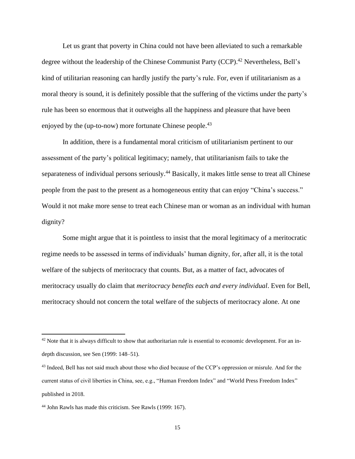Let us grant that poverty in China could not have been alleviated to such a remarkable degree without the leadership of the Chinese Communist Party (CCP).<sup>42</sup> Nevertheless, Bell's kind of utilitarian reasoning can hardly justify the party's rule. For, even if utilitarianism as a moral theory is sound, it is definitely possible that the suffering of the victims under the party's rule has been so enormous that it outweighs all the happiness and pleasure that have been enjoyed by the (up-to-now) more fortunate Chinese people.<sup>43</sup>

In addition, there is a fundamental moral criticism of utilitarianism pertinent to our assessment of the party's political legitimacy; namely, that utilitarianism fails to take the separateness of individual persons seriously.<sup>44</sup> Basically, it makes little sense to treat all Chinese people from the past to the present as a homogeneous entity that can enjoy "China's success." Would it not make more sense to treat each Chinese man or woman as an individual with human dignity?

Some might argue that it is pointless to insist that the moral legitimacy of a meritocratic regime needs to be assessed in terms of individuals' human dignity, for, after all, it is the total welfare of the subjects of meritocracy that counts. But, as a matter of fact, advocates of meritocracy usually do claim that *meritocracy benefits each and every individual*. Even for Bell, meritocracy should not concern the total welfare of the subjects of meritocracy alone. At one

 $42$  Note that it is always difficult to show that authoritarian rule is essential to economic development. For an indepth discussion, see Sen (1999: 148–51).

<sup>&</sup>lt;sup>43</sup> Indeed, Bell has not said much about those who died because of the CCP's oppression or misrule. And for the current status of civil liberties in China, see, e.g., "Human Freedom Index" and "World Press Freedom Index" published in 2018.

<sup>44</sup> John Rawls has made this criticism. See Rawls (1999: 167).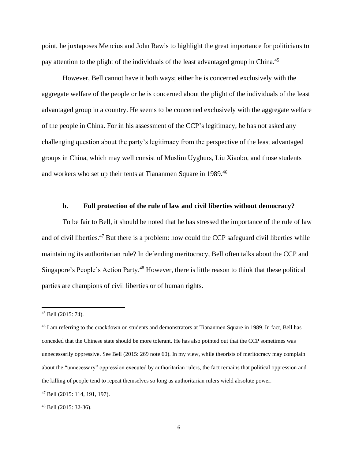point, he juxtaposes Mencius and John Rawls to highlight the great importance for politicians to pay attention to the plight of the individuals of the least advantaged group in China.<sup>45</sup>

However, Bell cannot have it both ways; either he is concerned exclusively with the aggregate welfare of the people or he is concerned about the plight of the individuals of the least advantaged group in a country. He seems to be concerned exclusively with the aggregate welfare of the people in China. For in his assessment of the CCP's legitimacy, he has not asked any challenging question about the party's legitimacy from the perspective of the least advantaged groups in China, which may well consist of Muslim Uyghurs, Liu Xiaobo, and those students and workers who set up their tents at Tiananmen Square in 1989.<sup>46</sup>

#### **b. Full protection of the rule of law and civil liberties without democracy?**

To be fair to Bell, it should be noted that he has stressed the importance of the rule of law and of civil liberties.<sup>47</sup> But there is a problem: how could the CCP safeguard civil liberties while maintaining its authoritarian rule? In defending meritocracy, Bell often talks about the CCP and Singapore's People's Action Party.<sup>48</sup> However, there is little reason to think that these political parties are champions of civil liberties or of human rights.

 $45$  Bell (2015: 74).

<sup>&</sup>lt;sup>46</sup> I am referring to the crackdown on students and demonstrators at Tiananmen Square in 1989. In fact, Bell has conceded that the Chinese state should be more tolerant. He has also pointed out that the CCP sometimes was unnecessarily oppressive. See Bell (2015: 269 note 60). In my view, while theorists of meritocracy may complain about the "unnecessary" oppression executed by authoritarian rulers, the fact remains that political oppression and the killing of people tend to repeat themselves so long as authoritarian rulers wield absolute power.

<sup>47</sup> Bell (2015: 114, 191, 197).

<sup>48</sup> Bell (2015: 32-36).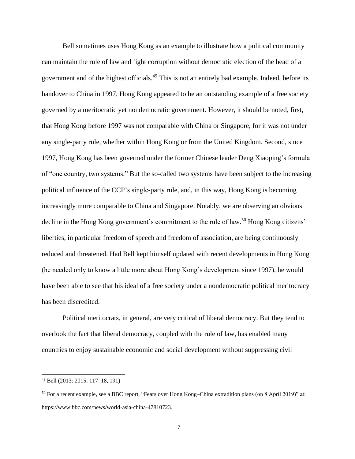Bell sometimes uses Hong Kong as an example to illustrate how a political community can maintain the rule of law and fight corruption without democratic election of the head of a government and of the highest officials.<sup>49</sup> This is not an entirely bad example. Indeed, before its handover to China in 1997, Hong Kong appeared to be an outstanding example of a free society governed by a meritocratic yet nondemocratic government. However, it should be noted, first, that Hong Kong before 1997 was not comparable with China or Singapore, for it was not under any single-party rule, whether within Hong Kong or from the United Kingdom. Second, since 1997, Hong Kong has been governed under the former Chinese leader Deng Xiaoping's formula of "one country, two systems." But the so-called two systems have been subject to the increasing political influence of the CCP's single-party rule, and, in this way, Hong Kong is becoming increasingly more comparable to China and Singapore. Notably, we are observing an obvious decline in the Hong Kong government's commitment to the rule of law. <sup>50</sup> Hong Kong citizens' liberties, in particular freedom of speech and freedom of association, are being continuously reduced and threatened. Had Bell kept himself updated with recent developments in Hong Kong (he needed only to know a little more about Hong Kong's development since 1997), he would have been able to see that his ideal of a free society under a nondemocratic political meritocracy has been discredited.

Political meritocrats, in general, are very critical of liberal democracy. But they tend to overlook the fact that liberal democracy, coupled with the rule of law, has enabled many countries to enjoy sustainable economic and social development without suppressing civil

<sup>49</sup> Bell (2013: 2015: 117–18, 191)

<sup>50</sup> For a recent example, see a BBC report, "Fears over Hong Kong–China extradition plans (on 8 April 2019)" at: https://www.bbc.com/news/world-asia-china-47810723.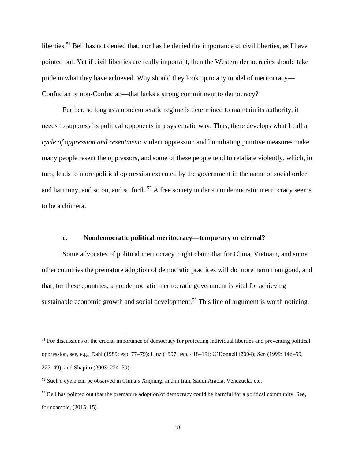liberties.<sup>51</sup> Bell has not denied that, nor has he denied the importance of civil liberties, as I have pointed out. Yet if civil liberties are really important, then the Western democracies should take pride in what they have achieved. Why should they look up to any model of meritocracy— Confucian or non-Confucian—that lacks a strong commitment to democracy?

Further, so long as a nondemocratic regime is determined to maintain its authority, it needs to suppress its political opponents in a systematic way. Thus, there develops what I call a *cycle of oppression and resentment*: violent oppression and humiliating punitive measures make many people resent the oppressors, and some of these people tend to retaliate violently, which, in turn, leads to more political oppression executed by the government in the name of social order and harmony, and so on, and so forth.<sup>52</sup> A free society under a nondemocratic meritocracy seems to be a chimera.

#### **c. Nondemocratic political meritocracy—temporary or eternal?**

Some advocates of political meritocracy might claim that for China, Vietnam, and some other countries the premature adoption of democratic practices will do more harm than good, and that, for these countries, a nondemocratic meritocratic government is vital for achieving sustainable economic growth and social development.<sup>53</sup> This line of argument is worth noticing,

<sup>&</sup>lt;sup>51</sup> For discussions of the crucial importance of democracy for protecting individual liberties and preventing political oppression, see, e.g., Dahl (1989: esp. 77–79); Linz (1997: esp. 418–19); O'Donnell (2004); Sen (1999: 146–59, 227–49); and Shapiro (2003: 224–30).

<sup>52</sup> Such a cycle can be observed in China's Xinjiang, and in Iran, Saudi Arabia, Venezuela, etc.

<sup>&</sup>lt;sup>53</sup> Bell has pointed out that the premature adoption of democracy could be harmful for a political community. See, for example, (2015: 15).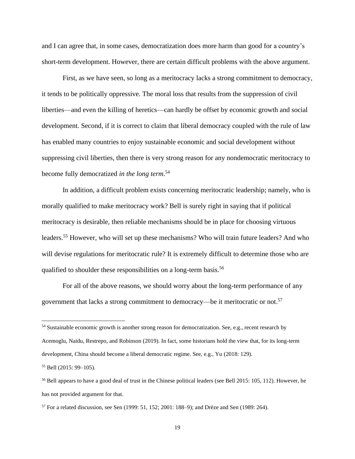and I can agree that, in some cases, democratization does more harm than good for a country's short-term development. However, there are certain difficult problems with the above argument.

First, as we have seen, so long as a meritocracy lacks a strong commitment to democracy, it tends to be politically oppressive. The moral loss that results from the suppression of civil liberties—and even the killing of heretics—can hardly be offset by economic growth and social development. Second, if it is correct to claim that liberal democracy coupled with the rule of law has enabled many countries to enjoy sustainable economic and social development without suppressing civil liberties, then there is very strong reason for any nondemocratic meritocracy to become fully democratized *in the long term*. 54

In addition, a difficult problem exists concerning meritocratic leadership; namely, who is morally qualified to make meritocracy work? Bell is surely right in saying that if political meritocracy is desirable, then reliable mechanisms should be in place for choosing virtuous leaders.<sup>55</sup> However, who will set up these mechanisms? Who will train future leaders? And who will devise regulations for meritocratic rule? It is extremely difficult to determine those who are qualified to shoulder these responsibilities on a long-term basis.<sup>56</sup>

For all of the above reasons, we should worry about the long-term performance of any government that lacks a strong commitment to democracy—be it meritocratic or not. 57

<sup>&</sup>lt;sup>54</sup> Sustainable economic growth is another strong reason for democratization. See, e.g., recent research by

Acemoglu, Naidu, Restrepo, and Robinson (2019). In fact, some historians hold the view that, for its long-term development, China should become a liberal democratic regime. See, e.g., Yu (2018: 129).

<sup>55</sup> Bell (2015: 99–105).

<sup>56</sup> Bell appears to have a good deal of trust in the Chinese political leaders (see Bell 2015: 105, 112). However, he has not provided argument for that.

<sup>57</sup> For a related discussion, see Sen (1999: 51, 152; 2001: 188–9); and Drèze and Sen (1989: 264).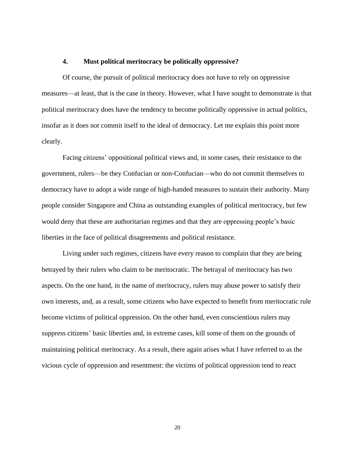## **4. Must political meritocracy be politically oppressive?**

Of course, the pursuit of political meritocracy does not have to rely on oppressive measures—at least, that is the case in theory. However, what I have sought to demonstrate is that political meritocracy does have the tendency to become politically oppressive in actual politics, insofar as it does not commit itself to the ideal of democracy. Let me explain this point more clearly.

Facing citizens' oppositional political views and, in some cases, their resistance to the government, rulers—be they Confucian or non-Confucian—who do not commit themselves to democracy have to adopt a wide range of high-handed measures to sustain their authority. Many people consider Singapore and China as outstanding examples of political meritocracy, but few would deny that these are authoritarian regimes and that they are oppressing people's basic liberties in the face of political disagreements and political resistance.

Living under such regimes, citizens have every reason to complain that they are being betrayed by their rulers who claim to be meritocratic. The betrayal of meritocracy has two aspects. On the one hand, in the name of meritocracy, rulers may abuse power to satisfy their own interests, and, as a result, some citizens who have expected to benefit from meritocratic rule become victims of political oppression. On the other hand, even conscientious rulers may suppress citizens' basic liberties and, in extreme cases, kill some of them on the grounds of maintaining political meritocracy. As a result, there again arises what I have referred to as the vicious cycle of oppression and resentment: the victims of political oppression tend to react

20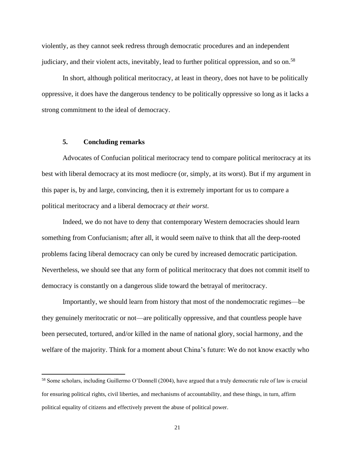violently, as they cannot seek redress through democratic procedures and an independent judiciary, and their violent acts, inevitably, lead to further political oppression, and so on.<sup>58</sup>

In short, although political meritocracy, at least in theory, does not have to be politically oppressive, it does have the dangerous tendency to be politically oppressive so long as it lacks a strong commitment to the ideal of democracy.

## **5. Concluding remarks**

Advocates of Confucian political meritocracy tend to compare political meritocracy at its best with liberal democracy at its most mediocre (or, simply, at its worst). But if my argument in this paper is, by and large, convincing, then it is extremely important for us to compare a political meritocracy and a liberal democracy *at their worst*.

Indeed, we do not have to deny that contemporary Western democracies should learn something from Confucianism; after all, it would seem naïve to think that all the deep-rooted problems facing liberal democracy can only be cured by increased democratic participation. Nevertheless, we should see that any form of political meritocracy that does not commit itself to democracy is constantly on a dangerous slide toward the betrayal of meritocracy.

Importantly, we should learn from history that most of the nondemocratic regimes—be they genuinely meritocratic or not—are politically oppressive, and that countless people have been persecuted, tortured, and/or killed in the name of national glory, social harmony, and the welfare of the majority. Think for a moment about China's future: We do not know exactly who

<sup>58</sup> Some scholars, including Guillermo O'Donnell (2004), have argued that a truly democratic rule of law is crucial for ensuring political rights, civil liberties, and mechanisms of accountability, and these things, in turn, affirm political equality of citizens and effectively prevent the abuse of political power.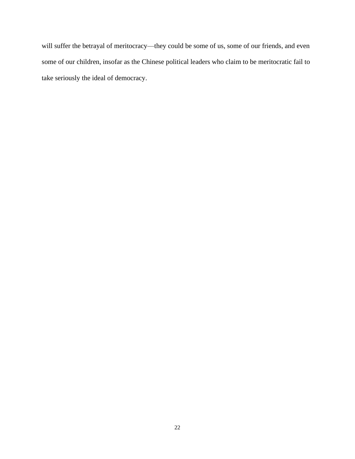will suffer the betrayal of meritocracy—they could be some of us, some of our friends, and even some of our children, insofar as the Chinese political leaders who claim to be meritocratic fail to take seriously the ideal of democracy.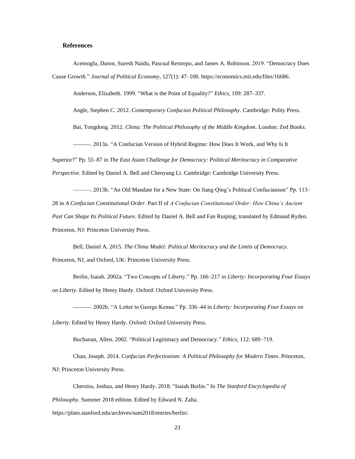#### **References**

Acemoglu, Daron, Suresh Naidu, Pascual Restrepo, and James A. Robinson. 2019. "Democracy Does Cause Growth." *Journal of Political Economy*, 127(1): 47–100. https://economics.mit.edu/files/16686.

Anderson, Elizabeth. 1999. "What is the Point of Equality?" *Ethics*, 109: 287–337.

Angle, Stephen C. 2012. *Contemporary Confucian Political Philosophy*. Cambridge: Polity Press.

Bai, Tongdong. 2012. *China: The Political Philosophy of the Middle Kingdom*. London: Zed Books.

———. 2013a. "A Confucian Version of Hybrid Regime: How Does It Work, and Why Is It

Superior?" Pp. 55–87 in *The East Asian Challenge for Democracy: Political Meritocracy in Comparative Perspective.* Edited by Daniel A. Bell and Chenyang Li. Cambridge: Cambridge University Press.

———. 2013b. "An Old Mandate for a New State: On Jiang Qing's Political Confucianism" Pp. 113– 28 in *A Confucian Constitutional Order*. Part II of *A Confucian Constitutional Order: How China's Ancient Past Can Shape Its Political Future*. Edited by Daniel A. Bell and Fan Ruiping; translated by Edmund Ryden. Princeton, NJ: Princeton University Press.

Bell, Daniel A. 2015. *The China Model: Political Meritocracy and the Limits of Democracy.* Princeton, NJ, and Oxford, UK: Princeton University Press.

Berlin, Isaiah. 2002a. "Two Concepts of Liberty." Pp. 166–217 in *Liberty: Incorporating Four Essays on Liberty*. Edited by Henry Hardy. Oxford: Oxford University Press.

———. 2002b. "A Letter to George Kenna." Pp. 336–44 in *Liberty: Incorporating Four Essays on Liberty*. Edited by Henry Hardy. Oxford: Oxford University Press.

Buchanan, Allen. 2002. "Political Legitimacy and Democracy." *Ethics*, 112: 689–719.

Chan, Joseph. 2014. *Confucian Perfectionism: A Political Philosophy for Modern Times*. Princeton, NJ: Princeton University Press.

Cherniss, Joshua, and Henry Hardy. 2018. "Isaiah Berlin." In *The Stanford Encyclopedia of Philosophy.* Summer 2018 edition. Edited by Edward N. Zalta.

https://plato.stanford.edu/archives/sum2018/entries/berlin/.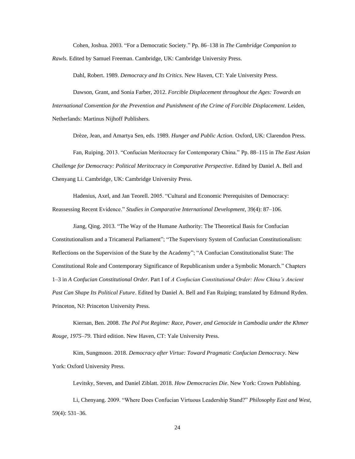Cohen, Joshua. 2003. "For a Democratic Society." Pp. 86–138 in *The Cambridge Companion to Rawls*. Edited by Samuel Freeman. Cambridge, UK: Cambridge University Press.

Dahl, Robert. 1989. *Democracy and Its Critics*. New Haven, CT: Yale University Press.

Dawson, Grant, and Sonia Farber, 2012. *Forcible Displacement throughout the Ages: Towards an International Convention for the Prevention and Punishment of the Crime of Forcible Displacement*. Leiden, Netherlands: Martinus Nijhoff Publishers.

Drèze, Jean, and Amartya Sen, eds. 1989. *Hunger and Public Action.* Oxford, UK: Clarendon Press.

Fan, Ruiping. 2013. "Confucian Meritocracy for Contemporary China." Pp. 88–115 in *The East Asian Challenge for Democracy: Political Meritocracy in Comparative Perspective*. Edited by Daniel A. Bell and Chenyang Li. Cambridge, UK: Cambridge University Press.

Hadenius, Axel, and Jan Teorell. 2005. "Cultural and Economic Prerequisites of Democracy: Reassessing Recent Evidence." *Studies in Comparative International Development*, 39(4): 87–106.

Jiang, Qing. 2013. "The Way of the Humane Authority: The Theoretical Basis for Confucian Constitutionalism and a Tricameral Parliament"; "The Supervisory System of Confucian Constitutionalism: Reflections on the Supervision of the State by the Academy"; "A Confucian Constitutionalist State: The Constitutional Role and Contemporary Significance of Republicanism under a Symbolic Monarch." Chapters 1–3 in *A Confucian Constitutional Order*. Part I of *A Confucian Constitutional Order: How China's Ancient Past Can Shape Its Political Future*. Edited by Daniel A. Bell and Fan Ruiping; translated by Edmund Ryden. Princeton, NJ: Princeton University Press.

Kiernan, Ben. 2008. *The Pol Pot Regime: Race, Power, and Genocide in Cambodia under the Khmer Rouge, 1975–79*. Third edition. New Haven, CT: Yale University Press.

Kim, Sungmoon. 2018. *Democracy after Virtue: Toward Pragmatic Confucian Democracy*. New York: Oxford University Press.

Levitsky, Steven, and Daniel Ziblatt. 2018. *How Democracies Die*. New York: Crown Publishing.

Li, Chenyang. 2009. "Where Does Confucian Virtuous Leadership Stand?" *Philosophy East and West*, 59(4): 531–36.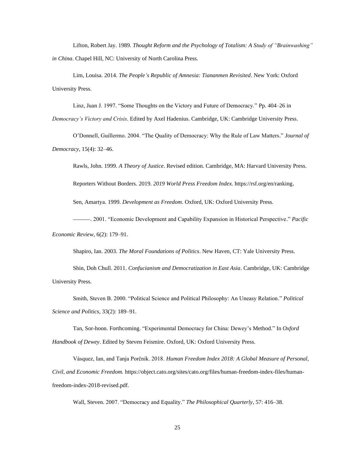Lifton, Robert Jay. 1989. *Thought Reform and the Psychology of Totalism: A Study of "Brainwashing" in China*. Chapel Hill, NC: University of North Carolina Press.

Lim, Louisa. 2014. *The People's Republic of Amnesia: Tiananmen Revisited*. New York: Oxford University Press.

Linz, Juan J. 1997. "Some Thoughts on the Victory and Future of Democracy." Pp. 404–26 in

*Democracy's Victory and Crisis*. Edited by Axel Hadenius. Cambridge, UK: Cambridge University Press.

O'Donnell, Guillermo. 2004. "The Quality of Democracy: Why the Rule of Law Matters." *Journal of Democracy*, 15(4): 32–46.

Rawls, John. 1999. *A Theory of Justice*. Revised edition. Cambridge, MA: Harvard University Press.

Reporters Without Borders. 2019. *2019 World Press Freedom Index.* https://rsf.org/en/ranking.

Sen, Amartya. 1999. *Development as Freedom*. Oxford, UK: Oxford University Press.

———. 2001. "Economic Development and Capability Expansion in Historical Perspective." *Pacific Economic Review*, 6(2): 179–91.

Shapiro, Ian. 2003. *The Moral Foundations of Politics*. New Haven, CT: Yale University Press.

Shin, Doh Chull. 2011. *Confucianism and Democratization in East Asia*. Cambridge, UK: Cambridge University Press.

Smith, Steven B. 2000. "Political Science and Political Philosophy: An Uneasy Relation." *Political Science and Politics*, 33(2): 189–91.

Tan, Sor-hoon. Forthcoming. "Experimental Democracy for China: Dewey's Method." In *Oxford Handbook of Dewey*. Edited by Steven Feismire. Oxford, UK: Oxford University Press.

Vásquez, Ian, and Tanja Porčnik. 2018. *Human Freedom Index 2018: A Global Measure of Personal, Civil, and Economic Freedom.* https://object.cato.org/sites/cato.org/files/human-freedom-index-files/humanfreedom-index-2018-revised.pdf.

Wall, Steven. 2007. "Democracy and Equality." *The Philosophical Quarterly*, 57: 416–38.